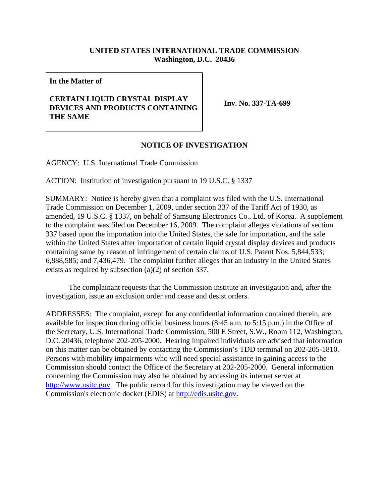## **UNITED STATES INTERNATIONAL TRADE COMMISSION Washington, D.C. 20436**

**In the Matter of**

## **CERTAIN LIQUID CRYSTAL DISPLAY DEVICES AND PRODUCTS CONTAINING THE SAME**

**Inv. No. 337-TA-699**

## **NOTICE OF INVESTIGATION**

AGENCY: U.S. International Trade Commission

ACTION: Institution of investigation pursuant to 19 U.S.C. § 1337

SUMMARY: Notice is hereby given that a complaint was filed with the U.S. International Trade Commission on December 1, 2009, under section 337 of the Tariff Act of 1930, as amended, 19 U.S.C. § 1337, on behalf of Samsung Electronics Co., Ltd. of Korea. A supplement to the complaint was filed on December 16, 2009. The complaint alleges violations of section 337 based upon the importation into the United States, the sale for importation, and the sale within the United States after importation of certain liquid crystal display devices and products containing same by reason of infringement of certain claims of U.S. Patent Nos. 5,844,533; 6,888,585; and 7,436,479. The complaint further alleges that an industry in the United States exists as required by subsection (a)(2) of section 337.

The complainant requests that the Commission institute an investigation and, after the investigation, issue an exclusion order and cease and desist orders.

ADDRESSES: The complaint, except for any confidential information contained therein, are available for inspection during official business hours (8:45 a.m. to 5:15 p.m.) in the Office of the Secretary, U.S. International Trade Commission, 500 E Street, S.W., Room 112, Washington, D.C. 20436, telephone 202-205-2000. Hearing impaired individuals are advised that information on this matter can be obtained by contacting the Commission's TDD terminal on 202-205-1810. Persons with mobility impairments who will need special assistance in gaining access to the Commission should contact the Office of the Secretary at 202-205-2000. General information concerning the Commission may also be obtained by accessing its internet server at http://www.usitc.gov. The public record for this investigation may be viewed on the Commission's electronic docket (EDIS) at http://edis.usitc.gov.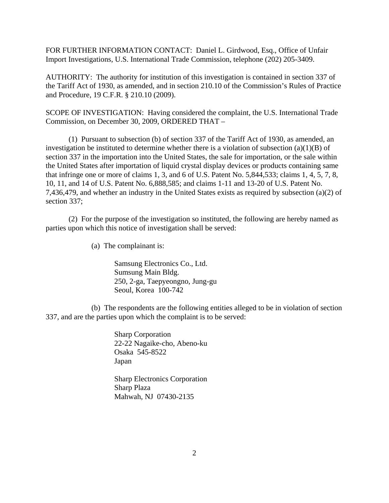FOR FURTHER INFORMATION CONTACT: Daniel L. Girdwood, Esq., Office of Unfair Import Investigations, U.S. International Trade Commission, telephone (202) 205-3409.

AUTHORITY: The authority for institution of this investigation is contained in section 337 of the Tariff Act of 1930, as amended, and in section 210.10 of the Commission's Rules of Practice and Procedure, 19 C.F.R. § 210.10 (2009).

SCOPE OF INVESTIGATION: Having considered the complaint, the U.S. International Trade Commission, on December 30, 2009, ORDERED THAT –

(1) Pursuant to subsection (b) of section 337 of the Tariff Act of 1930, as amended, an investigation be instituted to determine whether there is a violation of subsection (a)(1)(B) of section 337 in the importation into the United States, the sale for importation, or the sale within the United States after importation of liquid crystal display devices or products containing same that infringe one or more of claims 1, 3, and 6 of U.S. Patent No. 5,844,533; claims 1, 4, 5, 7, 8, 10, 11, and 14 of U.S. Patent No. 6,888,585; and claims 1-11 and 13-20 of U.S. Patent No. 7,436,479, and whether an industry in the United States exists as required by subsection (a)(2) of section 337;

(2) For the purpose of the investigation so instituted, the following are hereby named as parties upon which this notice of investigation shall be served:

(a) The complainant is:

Samsung Electronics Co., Ltd. Sumsung Main Bldg. 250, 2-ga, Taepyeongno, Jung-gu Seoul, Korea 100-742

(b) The respondents are the following entities alleged to be in violation of section 337, and are the parties upon which the complaint is to be served:

> Sharp Corporation 22-22 Nagaike-cho, Abeno-ku Osaka 545-8522 Japan

> Sharp Electronics Corporation Sharp Plaza Mahwah, NJ 07430-2135